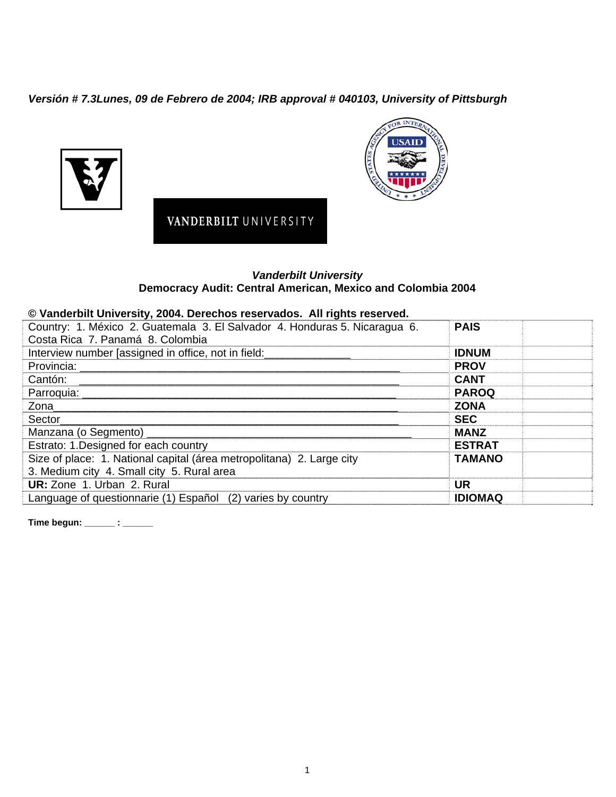*Versión # 7.3Lunes, 09 de Febrero de 2004; IRB approval # 040103, University of Pittsburgh* 





## *Vanderbilt University*  **Democracy Audit: Central American, Mexico and Colombia 2004**

## **© Vanderbilt University, 2004. Derechos reservados. All rights reserved.**

VANDERBILT UNIVERSITY

| Country: 1. México 2. Guatemala 3. El Salvador 4. Honduras 5. Nicaragua 6.<br>Costa Rica 7. Panamá 8. Colombia | <b>PAIS</b>    |  |
|----------------------------------------------------------------------------------------------------------------|----------------|--|
| Interview number [assigned in office, not in field:_________________                                           | <b>IDNUM</b>   |  |
|                                                                                                                | <b>PROV</b>    |  |
| Cantón:                                                                                                        | <b>CANT</b>    |  |
|                                                                                                                | <b>PAROQ</b>   |  |
|                                                                                                                | <b>ZONA</b>    |  |
| <b>Sector Section</b>                                                                                          | <b>SEC</b>     |  |
|                                                                                                                | <b>MANZ</b>    |  |
| Estrato: 1. Designed for each country                                                                          | <b>ESTRAT</b>  |  |
| Size of place: 1. National capital (área metropolitana) 2. Large city                                          | <b>TAMANO</b>  |  |
| 3. Medium city 4. Small city 5. Rural area                                                                     |                |  |
| UR: Zone 1. Urban 2. Rural                                                                                     | <b>UR</b>      |  |
| Language of questionnarie (1) Español (2) varies by country                                                    | <b>IDIOMAQ</b> |  |

**Time begun: \_\_\_\_\_\_ : \_\_\_\_\_\_**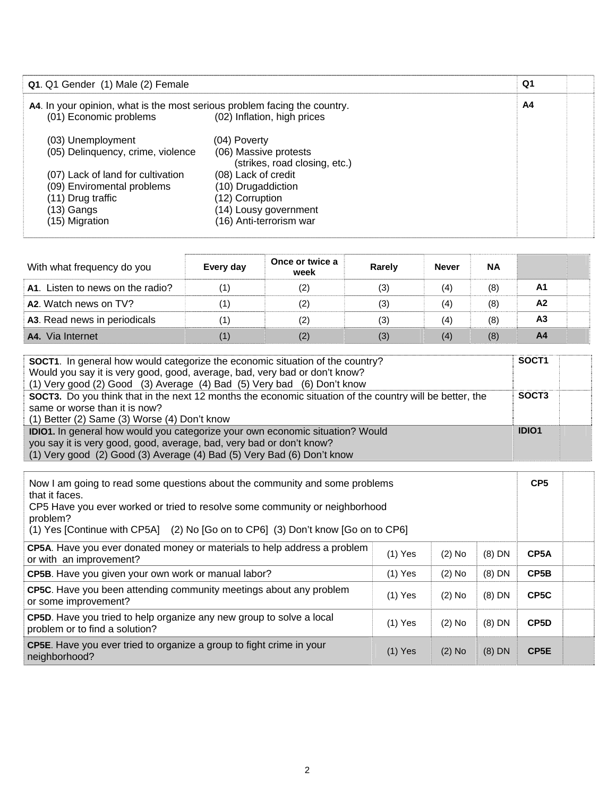| Q1. Q1 Gender (1) Male (2) Female                                                                                                                                                |                                                                                                                                                                                            | Q1 |  |
|----------------------------------------------------------------------------------------------------------------------------------------------------------------------------------|--------------------------------------------------------------------------------------------------------------------------------------------------------------------------------------------|----|--|
| A4. In your opinion, what is the most serious problem facing the country.<br>(01) Economic problems                                                                              | (02) Inflation, high prices                                                                                                                                                                | A4 |  |
| (03) Unemployment<br>(05) Delinquency, crime, violence<br>(07) Lack of land for cultivation<br>(09) Enviromental problems<br>(11) Drug traffic<br>$(13)$ Gangs<br>(15) Migration | (04) Poverty<br>(06) Massive protests<br>(strikes, road closing, etc.)<br>(08) Lack of credit<br>(10) Drugaddiction<br>(12) Corruption<br>(14) Lousy government<br>(16) Anti-terrorism war |    |  |

| With what frequency do you       | Every day         | Once or twice a<br>week | Rarely | <b>Never</b> | <b>NA</b> |                |  |
|----------------------------------|-------------------|-------------------------|--------|--------------|-----------|----------------|--|
| A1. Listen to news on the radio? | $^{\prime}$ 1)    | (2)                     | (3)    | (4)          | (8)       | A1             |  |
| A2. Watch news on TV?            | $\left( 1\right)$ | (2)                     | (3)    | (4)          | (8)       | A <sub>2</sub> |  |
| A3. Read news in periodicals     | '1)               | (2)                     | (3)    | (4)          | (8)       | A3             |  |
| Via Internet<br>A4.              | (1)               | (2)                     | (3)    | (4)          | (8)       | A4             |  |

| SOCT1. In general how would categorize the economic situation of the country?                                   | SOCT <sub>1</sub> |
|-----------------------------------------------------------------------------------------------------------------|-------------------|
| Would you say it is very good, good, average, bad, very bad or don't know?                                      |                   |
| (1) Very good (2) Good (3) Average (4) Bad (5) Very bad (6) Don't know                                          |                   |
| <b>SOCT3.</b> Do you think that in the next 12 months the economic situation of the country will be better, the | SOCT <sub>3</sub> |
| same or worse than it is now?                                                                                   |                   |
| $(1)$ Better $(2)$ Same $(3)$ Worse $(4)$ Don't know                                                            |                   |
| IDIO1. In general how would you categorize your own economic situation? Would                                   | IDIO <sub>1</sub> |
| you say it is very good, good, average, bad, very bad or don't know?                                            |                   |
| (1) Very good (2) Good (3) Average (4) Bad (5) Very Bad (6) Don't know                                          |                   |

| Now I am going to read some questions about the community and some problems<br>that it faces.<br>CP5 Have you ever worked or tried to resolve some community or neighborhood<br>problem?<br>(1) Yes [Continue with CP5A] (2) No [Go on to CP6] (3) Don't know [Go on to CP6] |           |          |          |                   |  |
|------------------------------------------------------------------------------------------------------------------------------------------------------------------------------------------------------------------------------------------------------------------------------|-----------|----------|----------|-------------------|--|
| CP5A. Have you ever donated money or materials to help address a problem<br>or with an improvement?                                                                                                                                                                          | $(1)$ Yes | $(2)$ No | $(8)$ DN | CP5A              |  |
| CP5B. Have you given your own work or manual labor?<br>$(2)$ No<br>$(8)$ DN<br>$(1)$ Yes                                                                                                                                                                                     |           |          |          |                   |  |
| CP5C. Have you been attending community meetings about any problem<br>or some improvement?                                                                                                                                                                                   | $(1)$ Yes | $(2)$ No | $(8)$ DN | CP <sub>5</sub> C |  |
| <b>CP5D.</b> Have you tried to help organize any new group to solve a local<br>problem or to find a solution?                                                                                                                                                                | $(1)$ Yes | $(2)$ No | (8) DN   | CP5D              |  |
| CP5E. Have you ever tried to organize a group to fight crime in your<br>neighborhood?                                                                                                                                                                                        | $(1)$ Yes | $(2)$ No | $(8)$ DN | CP <sub>5E</sub>  |  |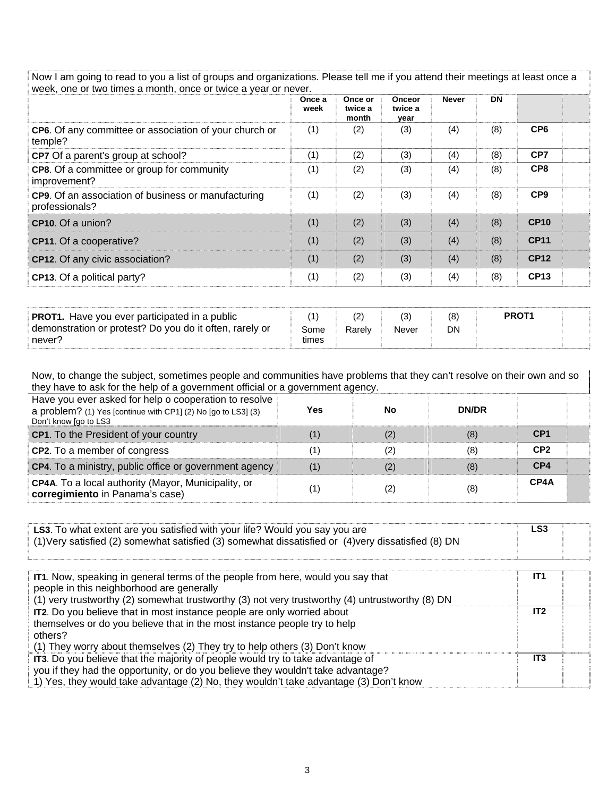Now I am going to read to you a list of groups and organizations. Please tell me if you attend their meetings at least once a week, one or two times a month, once or twice a year or never.

|                                                                       | Once a<br>week | Once or<br>twice a<br>month | <b>Onceor</b><br>twice a<br>year | <b>Never</b> | <b>DN</b> |                 |
|-----------------------------------------------------------------------|----------------|-----------------------------|----------------------------------|--------------|-----------|-----------------|
| CP6. Of any committee or association of your church or<br>temple?     | (1)            | (2)                         | (3)                              | (4)          | (8)       | CP <sub>6</sub> |
| CP7 Of a parent's group at school?                                    | (1)            | (2)                         | (3)                              | (4)          | (8)       | CP7             |
| CP8. Of a committee or group for community<br>improvement?            | (1)            | (2)                         | (3)                              | (4)          | (8)       | CP <sub>8</sub> |
| CP9. Of an association of business or manufacturing<br>professionals? | (1)            | (2)                         | (3)                              | (4)          | (8)       | CP <sub>9</sub> |
| CP10. Of a union?                                                     | (1)            | (2)                         | (3)                              | (4)          | (8)       | <b>CP10</b>     |
| CP11. Of a cooperative?                                               | (1)            | (2)                         | (3)                              | (4)          | (8)       | <b>CP11</b>     |
| CP12. Of any civic association?                                       | (1)            | (2)                         | (3)                              | (4)          | (8)       | <b>CP12</b>     |
| CP13. Of a political party?                                           | (1)            | (2)                         | (3)                              | (4)          | (8)       | <b>CP13</b>     |

| <b>PROT1.</b> Have you ever participated in a public    |       |        |       |    | PROT <sub>1</sub> |  |
|---------------------------------------------------------|-------|--------|-------|----|-------------------|--|
| demonstration or protest? Do you do it often, rarely or | Some  | Rarelv | Never | DN |                   |  |
| never?                                                  | times |        |       |    |                   |  |

Now, to change the subject, sometimes people and communities have problems that they can't resolve on their own and so they have to ask for the help of a government official or a government agency.

| Have you ever asked for help o cooperation to resolve<br>a problem? (1) Yes [continue with CP1] (2) No [go to LS3] (3)<br>Don't know [go to LS3 | Yes | No  | <b>DN/DR</b> |                 |
|-------------------------------------------------------------------------------------------------------------------------------------------------|-----|-----|--------------|-----------------|
| CP1. To the President of your country                                                                                                           | (1) | (2) | (8)          | CP <sub>1</sub> |
| <b>CP2.</b> To a member of congress                                                                                                             | (1) | (2) | (8)          | CP <sub>2</sub> |
| CP4. To a ministry, public office or government agency                                                                                          | (1) | (2) | (8)          | CP4             |
| <b>CP4A.</b> To a local authority (Mayor, Municipality, or<br>corregimiento in Panama's case)                                                   | (1) | (2) | (8)          | CP4A            |

| LS3. To what extent are you satisfied with your life? Would you say you are<br>(1) Very satisfied (2) somewhat satisfied (3) somewhat dissatisfied or (4) very dissatisfied (8) DN                                                                          | LS <sub>3</sub> |
|-------------------------------------------------------------------------------------------------------------------------------------------------------------------------------------------------------------------------------------------------------------|-----------------|
| IT1. Now, speaking in general terms of the people from here, would you say that<br>people in this neighborhood are generally<br>(1) very trustworthy (2) somewhat trustworthy (3) not very trustworthy (4) untrustworthy (8) DN                             | IT <sub>1</sub> |
| IT2. Do you believe that in most instance people are only worried about<br>themselves or do you believe that in the most instance people try to help<br>others?<br>(1) They worry about themselves (2) They try to help others (3) Don't know               | IT2             |
| IT3. Do you believe that the majority of people would try to take advantage of<br>you if they had the opportunity, or do you believe they wouldn't take advantage?<br>1) Yes, they would take advantage (2) No, they wouldn't take advantage (3) Don't know | IT <sub>3</sub> |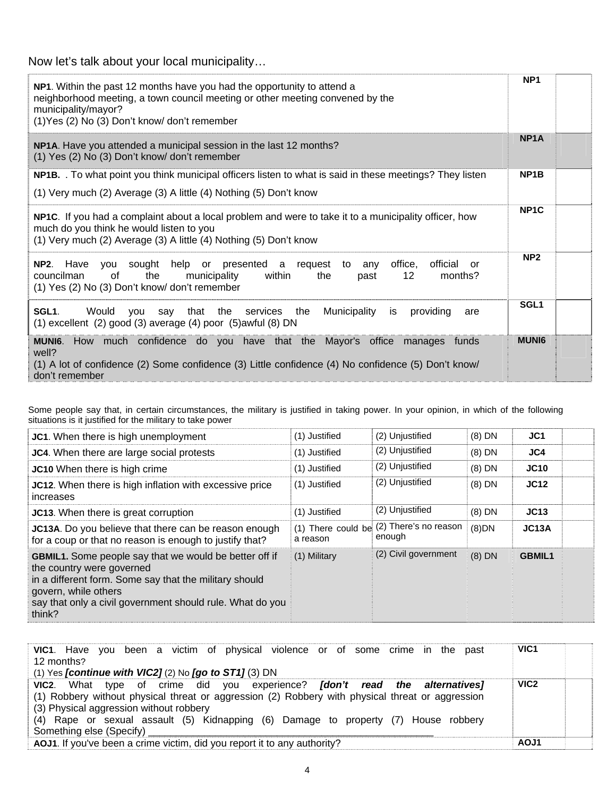Now let's talk about your local municipality…

| NP1. Within the past 12 months have you had the opportunity to attend a<br>neighborhood meeting, a town council meeting or other meeting convened by the<br>municipality/mayor?<br>(1) Yes (2) No (3) Don't know/ don't remember | NP <sub>1</sub>   |  |
|----------------------------------------------------------------------------------------------------------------------------------------------------------------------------------------------------------------------------------|-------------------|--|
| NP1A. Have you attended a municipal session in the last 12 months?<br>(1) Yes (2) No (3) Don't know/ don't remember                                                                                                              | NP <sub>1</sub> A |  |
| NP1B. . To what point you think municipal officers listen to what is said in these meetings? They listen<br>(1) Very much (2) Average (3) A little (4) Nothing (5) Don't know                                                    | NP <sub>1</sub> B |  |
| NP1C. If you had a complaint about a local problem and were to take it to a municipality officer, how<br>much do you think he would listen to you<br>(1) Very much (2) Average (3) A little (4) Nothing (5) Don't know           | NP <sub>1</sub> C |  |
| NP2. Have you sought help or presented a request to<br>office,<br>official<br>any<br>or<br>councilman<br>of<br>the<br>12<br>municipality<br>within<br>months?<br>the<br>past<br>(1) Yes (2) No (3) Don't know/ don't remember    | NP <sub>2</sub>   |  |
| say that the services the<br>Municipality<br>SGL1.<br>Would you<br>providing<br>is<br>are<br>(1) excellent (2) good (3) average (4) poor (5) awful (8) DN                                                                        | SGL <sub>1</sub>  |  |
| How much confidence do you have that the Mayor's office manages funds<br><b>MUNI6.</b><br>well?<br>(1) A lot of confidence (2) Some confidence (3) Little confidence (4) No confidence (5) Don't know/<br>don't remember         | <b>MUNI6</b>      |  |

Some people say that, in certain circumstances, the military is justified in taking power. In your opinion, in which of the following situations is it justified for the military to take power

| JC1. When there is high unemployment                                                                                                                                                                                                                | (1) Justified | (2) Unjustified                                    | $(8)$ DN | JC1           |  |
|-----------------------------------------------------------------------------------------------------------------------------------------------------------------------------------------------------------------------------------------------------|---------------|----------------------------------------------------|----------|---------------|--|
| JC4. When there are large social protests                                                                                                                                                                                                           | (1) Justified | (2) Unjustified                                    | $(8)$ DN | JC4           |  |
| JC10 When there is high crime                                                                                                                                                                                                                       | (1) Justified | (2) Unjustified                                    | $(8)$ DN | JC10          |  |
| JC12. When there is high inflation with excessive price<br>increases                                                                                                                                                                                | (1) Justified | (2) Unjustified                                    | $(8)$ DN | JC12          |  |
| JC13. When there is great corruption                                                                                                                                                                                                                | (1) Justified | (2) Unjustified                                    | $(8)$ DN | JC13          |  |
| JC13A. Do you believe that there can be reason enough<br>for a coup or that no reason is enough to justify that?                                                                                                                                    | a reason      | (1) There could be (2) There's no reason<br>enough | $(8)$ DN | JC13A         |  |
| <b>GBMIL1.</b> Some people say that we would be better off if<br>the country were governed<br>in a different form. Some say that the military should<br>govern, while others<br>say that only a civil government should rule. What do you<br>think? | (1) Military  | (2) Civil government                               | $(8)$ DN | <b>GBMIL1</b> |  |

| VIC1. Have you been a victim of physical violence or of some crime in the past                   | VIC <sub>1</sub> |
|--------------------------------------------------------------------------------------------------|------------------|
| 12 months?                                                                                       |                  |
| (1) Yes <i>[continue with VIC2]</i> (2) No $[go to ST1]$ (3) DN                                  |                  |
| VIC2. What type of crime did you experience? <i>[don't read the alternatives]</i>                | VIC <sub>2</sub> |
| (1) Robbery without physical threat or aggression (2) Robbery with physical threat or aggression |                  |
| (3) Physical aggression without robbery                                                          |                  |
| (4) Rape or sexual assault (5) Kidnapping (6) Damage to property (7) House robbery               |                  |
| Something else (Specify) ___                                                                     |                  |
| AOJ1. If you've been a crime victim, did you report it to any authority?                         | AOJ1             |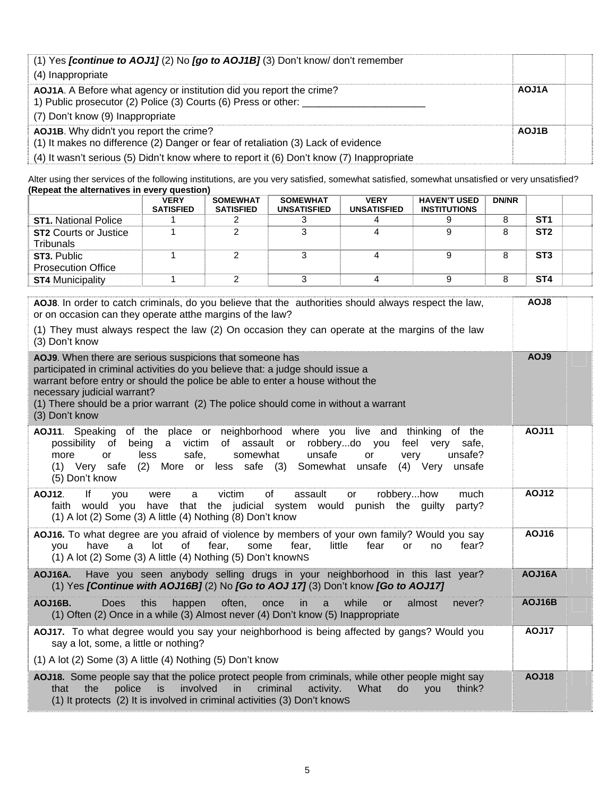| (1) Yes <i>[continue to AOJ1]</i> (2) No <i>[go to AOJ1B]</i> (3) Don't know/ don't remember<br>(4) Inappropriate                                                                                                         |       |
|---------------------------------------------------------------------------------------------------------------------------------------------------------------------------------------------------------------------------|-------|
| AOJ1A. A Before what agency or institution did you report the crime?<br>1) Public prosecutor (2) Police (3) Courts (6) Press or other:<br>(7) Don't know (9) Inappropriate                                                | AOJ1A |
| AOJ1B. Why didn't you report the crime?<br>(1) It makes no difference (2) Danger or fear of retaliation (3) Lack of evidence<br>(4) It wasn't serious (5) Didn't know where to report it (6) Don't know (7) Inappropriate | AOJ1B |

Alter using ther services of the following institutions, are you very satisfied, somewhat satisfied, somewhat unsatisfied or very unsatisfied? **(Repeat the alternatives in every question)** 

|                                                  | <b>VERY</b><br><b>SATISFIED</b> | <b>SOMEWHAT</b><br><b>SATISFIED</b> | <b>SOMEWHAT</b><br><b>UNSATISFIED</b> | <b>VERY</b><br><b>UNSATISFIED</b> | <b>HAVEN'T USED</b><br><b>INSTITUTIONS</b> | <b>DN/NR</b> |                 |  |
|--------------------------------------------------|---------------------------------|-------------------------------------|---------------------------------------|-----------------------------------|--------------------------------------------|--------------|-----------------|--|
| <b>ST1. National Police</b>                      |                                 |                                     |                                       |                                   |                                            |              | ST <sub>1</sub> |  |
| <b>ST2 Courts or Justice</b><br><b>Tribunals</b> |                                 |                                     |                                       |                                   |                                            |              | ST <sub>2</sub> |  |
| ST3. Public<br><b>Prosecution Office</b>         |                                 |                                     |                                       |                                   |                                            |              | ST <sub>3</sub> |  |
| <b>ST4 Municipality</b>                          |                                 |                                     |                                       |                                   |                                            |              | ST <sub>4</sub> |  |

| AOJ8. In order to catch criminals, do you believe that the authorities should always respect the law,<br>or on occasion can they operate atthe margins of the law?                                                                                                                                                                                                                                | AOJ8         |
|---------------------------------------------------------------------------------------------------------------------------------------------------------------------------------------------------------------------------------------------------------------------------------------------------------------------------------------------------------------------------------------------------|--------------|
| (1) They must always respect the law (2) On occasion they can operate at the margins of the law<br>(3) Don't know                                                                                                                                                                                                                                                                                 |              |
| AOJ9. When there are serious suspicions that someone has<br>participated in criminal activities do you believe that: a judge should issue a<br>warrant before entry or should the police be able to enter a house without the<br>necessary judicial warrant?<br>(1) There should be a prior warrant (2) The police should come in without a warrant<br>(3) Don't know                             | AOJ9         |
| of the place or neighborhood where you live and thinking<br>AOJ11. Speaking<br>of the<br>of assault or<br>robberydo you<br>feel very<br>possibility<br>of<br>being<br>a victim<br>safe,<br>safe,<br>somewhat<br>unsafe<br>more<br>less<br>very<br>unsafe?<br><b>or</b><br><b>or</b><br>(2)<br>More or<br>less safe (3) Somewhat unsafe<br>$(4)$ Very<br>(1) Very safe<br>unsafe<br>(5) Don't know | <b>AOJ11</b> |
| lf<br>of<br>victim<br>assault<br><b>AOJ12.</b><br>robberyhow<br>much<br>you<br>a<br>were<br>or<br>have that the judicial system would punish the guilty<br>faith<br>would you<br>party?<br>(1) A lot (2) Some (3) A little (4) Nothing (8) Don't know                                                                                                                                             | <b>AOJ12</b> |
| AOJ16. To what degree are you afraid of violence by members of your own family? Would you say<br>a<br>lot<br>0f<br>fear,<br>some<br>fear,<br>little<br>fear<br>have<br><b>or</b><br>fear?<br>vou<br>no<br>(1) A lot (2) Some (3) A little (4) Nothing (5) Don't knowNS                                                                                                                            | <b>AOJ16</b> |
| Have you seen anybody selling drugs in your neighborhood in this last year?<br>AOJ16A.<br>(1) Yes [Continue with AOJ16B] (2) No [Go to AOJ 17] (3) Don't know [Go to AOJ17]                                                                                                                                                                                                                       | AOJ16A       |
| this<br>often,<br>AOJ16B.<br><b>Does</b><br>happen<br>once<br>in<br>while<br>almost<br>never?<br>a<br><b>or</b><br>(1) Often (2) Once in a while (3) Almost never (4) Don't know (5) Inappropriate                                                                                                                                                                                                | AOJ16B       |
| AOJ17. To what degree would you say your neighborhood is being affected by gangs? Would you<br>say a lot, some, a little or nothing?                                                                                                                                                                                                                                                              | <b>AOJ17</b> |
| $(1)$ A lot $(2)$ Some $(3)$ A little $(4)$ Nothing $(5)$ Don't know                                                                                                                                                                                                                                                                                                                              |              |
| AOJ18. Some people say that the police protect people from criminals, while other people might say<br>police<br>involved<br>criminal<br>do<br>the<br>in<br>activity.<br>What<br>think?<br>that<br>is.<br><b>VOU</b><br>(1) It protects (2) It is involved in criminal activities (3) Don't knowS                                                                                                  | <b>AOJ18</b> |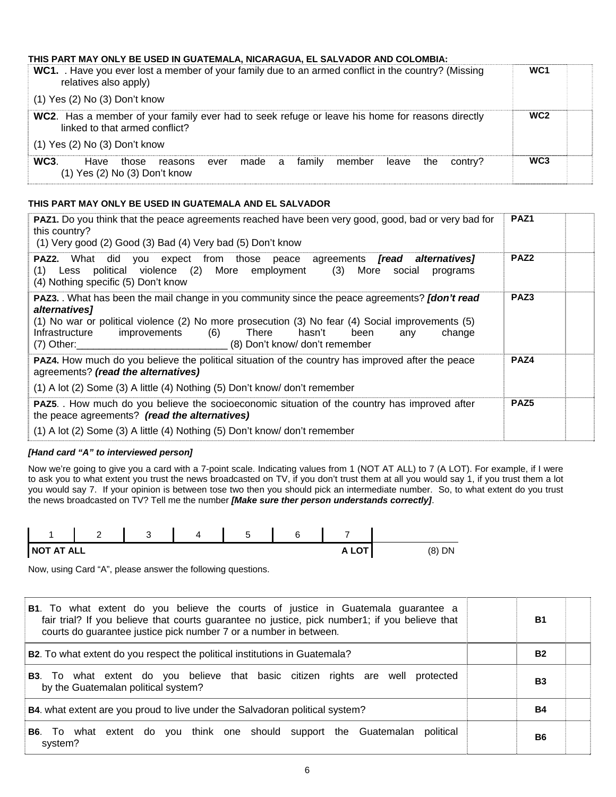#### **THIS PART MAY ONLY BE USED IN GUATEMALA, NICARAGUA, EL SALVADOR AND COLOMBIA:**

| WC1. Have you ever lost a member of your family due to an armed conflict in the country? (Missing<br>relatives also apply)        | WC <sub>1</sub> |  |
|-----------------------------------------------------------------------------------------------------------------------------------|-----------------|--|
| $(1)$ Yes $(2)$ No $(3)$ Don't know                                                                                               |                 |  |
| WC2. Has a member of your family ever had to seek refuge or leave his home for reasons directly<br>linked to that armed conflict? | WC <sub>2</sub> |  |
| $(1)$ Yes $(2)$ No $(3)$ Don't know                                                                                               |                 |  |
| WC3<br>ever made a family member leave the<br>Have<br>contrv?<br>those<br>reasons<br>$(1)$ Yes $(2)$ No $(3)$ Don't know          | WC <sub>3</sub> |  |

#### **THIS PART MAY ONLY BE USED IN GUATEMALA AND EL SALVADOR**

| PAZ1. Do you think that the peace agreements reached have been very good, good, bad or very bad for<br>this country?<br>(1) Very good (2) Good (3) Bad (4) Very bad (5) Don't know                                                                                                                                                            | PAZ <sub>1</sub> |  |
|-----------------------------------------------------------------------------------------------------------------------------------------------------------------------------------------------------------------------------------------------------------------------------------------------------------------------------------------------|------------------|--|
| <b>PAZ2.</b> What did you expect from those peace agreements <i>[read alternatives]</i><br>(1) Less political violence (2) More employment (3) More social<br>programs<br>(4) Nothing specific (5) Don't know                                                                                                                                 | PAZ <sub>2</sub> |  |
| PAZ3. What has been the mail change in you community since the peace agreements? [don't read<br>alternatives]<br>(1) No war or political violence (2) No more prosecution (3) No fear (4) Social improvements (5)<br>hasn't<br>Infrastructure<br>improvements (6) There<br>been<br>change<br>any<br>(7) Other: (8) Don't know/ don't remember | PAZ3             |  |
| PAZ4. How much do you believe the political situation of the country has improved after the peace<br>agreements? (read the alternatives)<br>(1) A lot (2) Some (3) A little (4) Nothing (5) Don't know/ don't remember                                                                                                                        | PAZ4             |  |
| <b>PAZ5.</b> How much do you believe the socioeconomic situation of the country has improved after<br>the peace agreements? (read the alternatives)                                                                                                                                                                                           | PAZ <sub>5</sub> |  |
| (1) A lot (2) Some (3) A little (4) Nothing (5) Don't know/ don't remember                                                                                                                                                                                                                                                                    |                  |  |

#### *[Hand card "A" to interviewed person]*

Now we're going to give you a card with a 7-point scale. Indicating values from 1 (NOT AT ALL) to 7 (A LOT). For example, if I were to ask you to what extent you trust the news broadcasted on TV, if you don't trust them at all you would say 1, if you trust them a lot you would say 7. If your opinion is between tose two then you should pick an intermediate number. So, to what extent do you trust the news broadcasted on TV? Tell me the number *[Make sure ther person understands correctly]*.



Now, using Card "A", please answer the following questions.

| <b>B1</b> . To what extent do you believe the courts of justice in Guatemala guarantee a<br>fair trial? If you believe that courts guarantee no justice, pick number1; if you believe that<br>courts do guarantee justice pick number 7 or a number in between. | Β1        |  |
|-----------------------------------------------------------------------------------------------------------------------------------------------------------------------------------------------------------------------------------------------------------------|-----------|--|
| B2. To what extent do you respect the political institutions in Guatemala?                                                                                                                                                                                      | <b>B2</b> |  |
| <b>B3</b> . To what extent do you believe that basic citizen rights are well protected<br>by the Guatemalan political system?                                                                                                                                   | B3        |  |
| B4. what extent are you proud to live under the Salvadoran political system?                                                                                                                                                                                    | <b>B4</b> |  |
| To what extent do you think one should support the Guatemalan political<br>B6.<br>system?                                                                                                                                                                       | <b>B6</b> |  |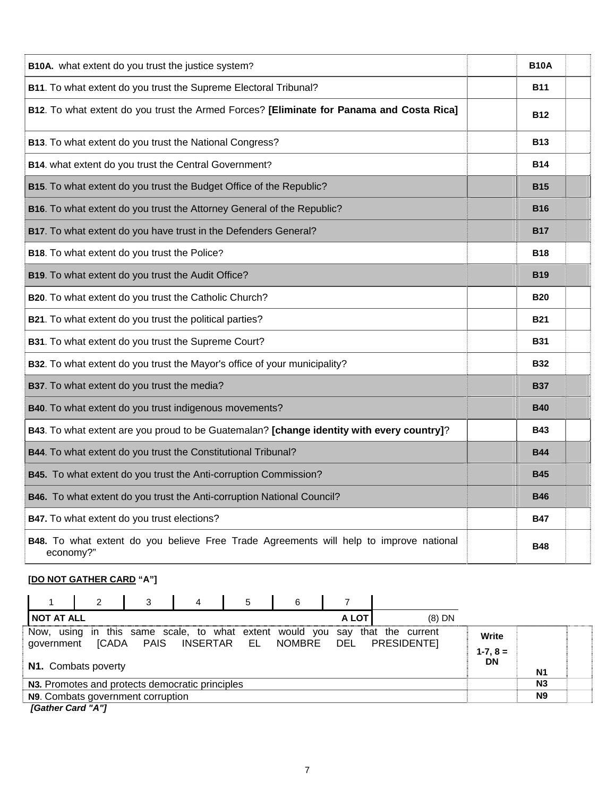| B10A. what extent do you trust the justice system?                                                  | <b>B10A</b> |  |
|-----------------------------------------------------------------------------------------------------|-------------|--|
| B11. To what extent do you trust the Supreme Electoral Tribunal?                                    | <b>B11</b>  |  |
| B12. To what extent do you trust the Armed Forces? [Eliminate for Panama and Costa Rica]            | <b>B12</b>  |  |
| B13. To what extent do you trust the National Congress?                                             | <b>B13</b>  |  |
| B14. what extent do you trust the Central Government?                                               | <b>B14</b>  |  |
| B15. To what extent do you trust the Budget Office of the Republic?                                 | <b>B15</b>  |  |
| B16. To what extent do you trust the Attorney General of the Republic?                              | <b>B16</b>  |  |
| B17. To what extent do you have trust in the Defenders General?                                     | <b>B17</b>  |  |
| B18. To what extent do you trust the Police?                                                        | <b>B18</b>  |  |
| B19. To what extent do you trust the Audit Office?                                                  | <b>B19</b>  |  |
| B20. To what extent do you trust the Catholic Church?                                               | <b>B20</b>  |  |
| B21. To what extent do you trust the political parties?                                             | <b>B21</b>  |  |
| B31. To what extent do you trust the Supreme Court?                                                 | <b>B31</b>  |  |
| B32. To what extent do you trust the Mayor's office of your municipality?                           | <b>B32</b>  |  |
| B37. To what extent do you trust the media?                                                         | <b>B37</b>  |  |
| B40. To what extent do you trust indigenous movements?                                              | <b>B40</b>  |  |
| B43. To what extent are you proud to be Guatemalan? [change identity with every country]?           | <b>B43</b>  |  |
| B44. To what extent do you trust the Constitutional Tribunal?                                       | <b>B44</b>  |  |
| B45. To what extent do you trust the Anti-corruption Commission?                                    | <b>B45</b>  |  |
| B46. To what extent do you trust the Anti-corruption National Council?                              | <b>B46</b>  |  |
| B47. To what extent do you trust elections?                                                         | <b>B47</b>  |  |
| B48. To what extent do you believe Free Trade Agreements will help to improve national<br>economy?" | <b>B48</b>  |  |

## **[DO NOT GATHER CARD "A"]**

|                   | 2                                               | 3 | 4 | 5 | 6                           |       |                                                                                             |                                    |                |  |
|-------------------|-------------------------------------------------|---|---|---|-----------------------------|-------|---------------------------------------------------------------------------------------------|------------------------------------|----------------|--|
| <b>NOT AT ALL</b> |                                                 |   |   |   |                             | A LOT | $(8)$ DN                                                                                    |                                    |                |  |
| government        | ICADA<br>N1. Combats poverty                    |   |   |   | PAIS INSERTAR EL NOMBRE DEL |       | Now, using in this same scale, to what extent would you say that the current<br>PRESIDENTE] | Write<br>$1 - 7, 8 =$<br><b>DN</b> | N1             |  |
|                   | N3. Promotes and protects democratic principles |   |   |   |                             |       |                                                                                             |                                    | N <sub>3</sub> |  |
|                   | N9. Combats government corruption               |   |   |   |                             |       |                                                                                             |                                    | N <sub>9</sub> |  |
| [Gather Card "A"] |                                                 |   |   |   |                             |       |                                                                                             |                                    |                |  |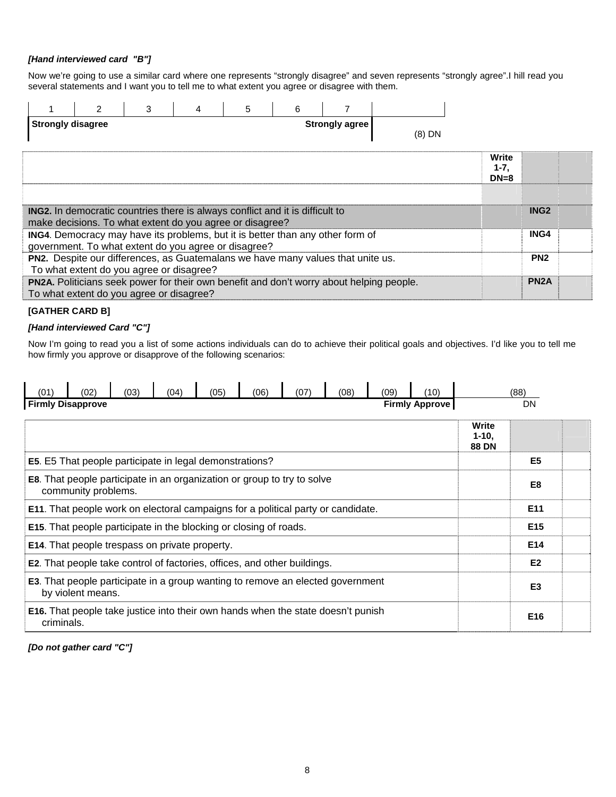#### *[Hand interviewed card "B"]*

Now we're going to use a similar card where one represents "strongly disagree" and seven represents "strongly agree".I hill read you several statements and I want you to tell me to what extent you agree or disagree with them.

|                          | $\mathcal{P}$ | 3                                                                                                                                                | 4 | 5 | 6 | 7                                                                                               |          |                              |                   |
|--------------------------|---------------|--------------------------------------------------------------------------------------------------------------------------------------------------|---|---|---|-------------------------------------------------------------------------------------------------|----------|------------------------------|-------------------|
| <b>Strongly disagree</b> |               |                                                                                                                                                  |   |   |   | Strongly agree                                                                                  | $(8)$ DN |                              |                   |
|                          |               |                                                                                                                                                  |   |   |   |                                                                                                 |          | Write<br>$1 - 7$ ,<br>$DN=8$ |                   |
|                          |               |                                                                                                                                                  |   |   |   |                                                                                                 |          |                              |                   |
|                          |               | <b>ING2.</b> In democratic countries there is always conflict and it is difficult to<br>make decisions. To what extent do you agree or disagree? |   |   |   |                                                                                                 |          |                              | ING <sub>2</sub>  |
|                          |               | government. To what extent do you agree or disagree?                                                                                             |   |   |   | ING4. Democracy may have its problems, but it is better than any other form of                  |          |                              | ING4              |
|                          |               | To what extent do you agree or disagree?                                                                                                         |   |   |   | PN2. Despite our differences, as Guatemalans we have many values that unite us.                 |          |                              | PN <sub>2</sub>   |
|                          |               | To what extent do you agree or disagree?                                                                                                         |   |   |   | <b>PN2A.</b> Politicians seek power for their own benefit and don't worry about helping people. |          |                              | PN <sub>2</sub> A |

#### **[GATHER CARD B]**

#### *[Hand interviewed Card "C"]*

Now I'm going to read you a list of some actions individuals can do to achieve their political goals and objectives. I'd like you to tell me how firmly you approve or disapprove of the following scenarios:

| (01)                     | (02)                | (03) | (04)                                                                                    | (05) | (06) | (07) | (08) | (09) | (10)                  |                                   | (88)            |
|--------------------------|---------------------|------|-----------------------------------------------------------------------------------------|------|------|------|------|------|-----------------------|-----------------------------------|-----------------|
| <b>Firmly Disapprove</b> |                     |      |                                                                                         |      |      |      |      |      | <b>Firmly Approve</b> |                                   | <b>DN</b>       |
|                          |                     |      |                                                                                         |      |      |      |      |      |                       | Write<br>$1 - 10$<br><b>88 DN</b> |                 |
|                          |                     |      | <b>E5</b> . E5 That people participate in legal demonstrations?                         |      |      |      |      |      |                       |                                   | E <sub>5</sub>  |
|                          | community problems. |      | <b>E8.</b> That people participate in an organization or group to try to solve          |      |      |      |      |      |                       |                                   | E <sub>8</sub>  |
|                          |                     |      | <b>E11.</b> That people work on electoral campaigns for a political party or candidate. |      |      |      |      |      |                       |                                   | E11             |
|                          |                     |      | <b>E15.</b> That people participate in the blocking or closing of roads.                |      |      |      |      |      |                       |                                   | E <sub>15</sub> |
|                          |                     |      | <b>E14.</b> That people trespass on private property.                                   |      |      |      |      |      |                       |                                   | E14             |
|                          |                     |      | <b>E2.</b> That people take control of factories, offices, and other buildings.         |      |      |      |      |      |                       |                                   | E <sub>2</sub>  |
|                          | by violent means.   |      | E3. That people participate in a group wanting to remove an elected government          |      |      |      |      |      |                       |                                   | E <sub>3</sub>  |
| criminals.               |                     |      | <b>E16.</b> That people take justice into their own hands when the state doesn't punish |      |      |      |      |      |                       |                                   | E16             |

*[Do not gather card "C"]*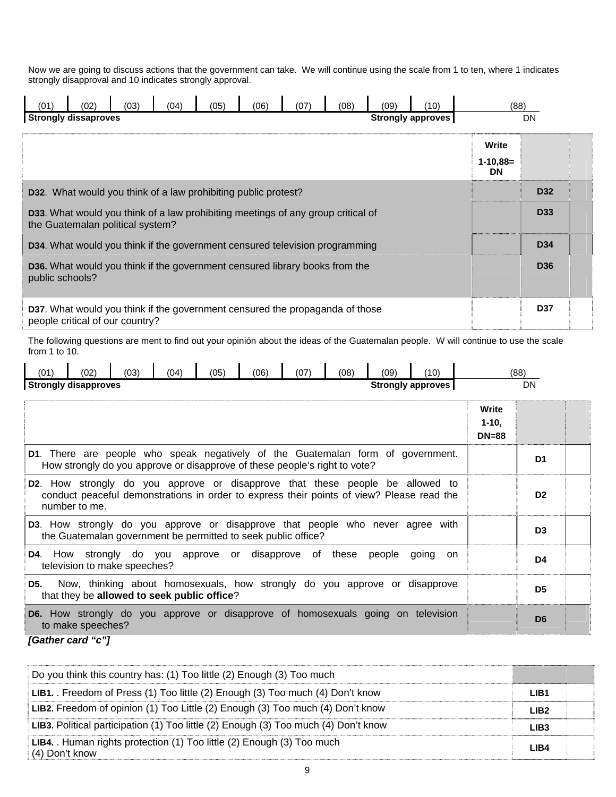Now we are going to discuss actions that the government can take. We will continue using the scale from 1 to ten, where 1 indicates strongly disapproval and 10 indicates strongly approval.

| (01)               | (02                                                                                                                         | (03) | (04) | (05) | (06) | (07) | (08) | (09) | (10)              | (88)                                                                                                                                 | <b>DN</b>       |  |
|--------------------|-----------------------------------------------------------------------------------------------------------------------------|------|------|------|------|------|------|------|-------------------|--------------------------------------------------------------------------------------------------------------------------------------|-----------------|--|
|                    | <b>Strongly dissaproves</b>                                                                                                 |      |      |      |      |      |      |      | Strongly approves | Write<br>$1 - 10,88 =$<br><b>DN</b>                                                                                                  |                 |  |
|                    | D32. What would you think of a law prohibiting public protest?                                                              |      |      |      |      |      |      |      |                   |                                                                                                                                      | <b>D32</b>      |  |
|                    | <b>D33.</b> What would you think of a law prohibiting meetings of any group critical of<br>the Guatemalan political system? |      |      |      |      |      |      |      |                   |                                                                                                                                      | <b>D33</b>      |  |
|                    | <b>D34.</b> What would you think if the government censured television programming                                          |      |      |      |      |      |      |      |                   |                                                                                                                                      | D <sub>34</sub> |  |
| public schools?    | <b>D36.</b> What would you think if the government censured library books from the                                          |      |      |      |      |      |      |      |                   |                                                                                                                                      | D <sub>36</sub> |  |
|                    | <b>D37.</b> What would you think if the government censured the propaganda of those<br>people critical of our country?      |      |      |      |      |      |      |      |                   |                                                                                                                                      | <b>D37</b>      |  |
| from $1$ to $10$ . |                                                                                                                             |      |      |      |      |      |      |      |                   | The following questions are ment to find out your opinión about the ideas of the Guatemalan people. W will continue to use the scale |                 |  |

| <b>Strongly disapproves</b> |     |    |      |     |      |                    |    | <b>Strongly approves</b> |    | DN   |
|-----------------------------|-----|----|------|-----|------|--------------------|----|--------------------------|----|------|
| (01`                        | '02 | 03 | (04) | '05 | (06) | $^{\prime}$<br>, ש | 08 | (09                      | 10 | (88) |

|                                                                                                                                                                                                     | Write<br>$1 - 10$<br>$DN = 88$ |                |
|-----------------------------------------------------------------------------------------------------------------------------------------------------------------------------------------------------|--------------------------------|----------------|
| D1. There are people who speak negatively of the Guatemalan form of government.<br>How strongly do you approve or disapprove of these people's right to vote?                                       |                                | D1             |
| <b>D2</b> . How strongly do you approve or disapprove that these people be allowed to<br>conduct peaceful demonstrations in order to express their points of view? Please read the<br>number to me. |                                | D <sub>2</sub> |
| D3. How strongly do you approve or disapprove that people who never agree with<br>the Guatemalan government be permitted to seek public office?                                                     |                                | D <sub>3</sub> |
| <b>D4.</b> How strongly do you approve or disapprove of these<br>people<br>going<br>on.<br>television to make speeches?                                                                             |                                | D4             |
| Now, thinking about homosexuals, how strongly do you approve or disapprove<br>D5.<br>that they be allowed to seek public office?                                                                    |                                | D <sub>5</sub> |
| <b>D6.</b> How strongly do you approve or disapprove of homosexuals going on television<br>to make speeches?                                                                                        |                                | D <sub>6</sub> |

*<sup>[</sup>Gather card "c"]* 

| Do you think this country has: (1) Too little (2) Enough (3) Too much                  |                  |  |
|----------------------------------------------------------------------------------------|------------------|--|
| LIB1. Freedom of Press (1) Too little (2) Enough (3) Too much (4) Don't know           | LIB1             |  |
| LIB2. Freedom of opinion (1) Too Little (2) Enough (3) Too much (4) Don't know         | LIB <sub>2</sub> |  |
| LIB3. Political participation (1) Too little (2) Enough (3) Too much (4) Don't know    | LIB <sub>3</sub> |  |
| LIB4. Human rights protection (1) Too little (2) Enough (3) Too much<br>(4) Don't know | LIB4             |  |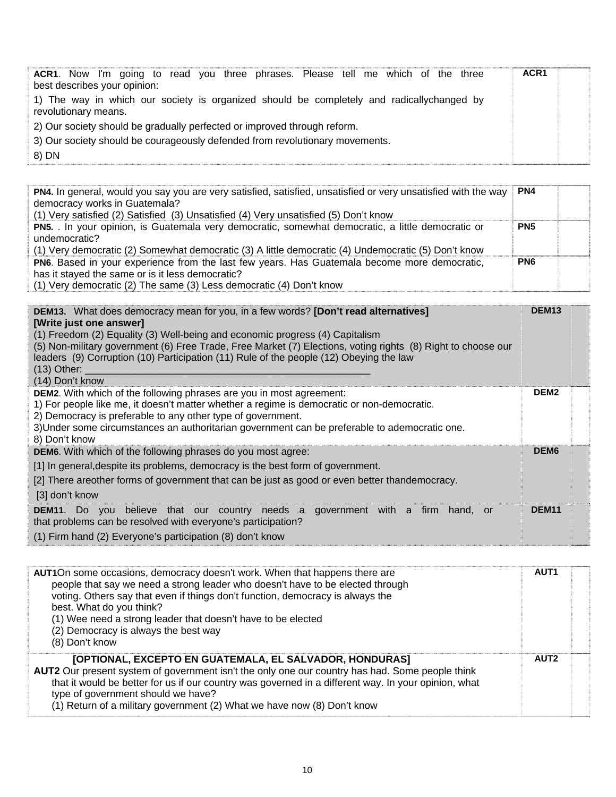| ACR1. Now I'm going to read you three phrases. Please tell me which of the three                                  | ACR <sub>1</sub> |  |
|-------------------------------------------------------------------------------------------------------------------|------------------|--|
| best describes your opinion:                                                                                      |                  |  |
| 1) The way in which our society is organized should be completely and radicallychanged by<br>revolutionary means. |                  |  |
| 2) Our society should be gradually perfected or improved through reform.                                          |                  |  |
| 3) Our society should be courageously defended from revolutionary movements.                                      |                  |  |
| 8) DN                                                                                                             |                  |  |

| PN4. In general, would you say you are very satisfied, satisfied, unsatisfied or very unsatisfied with the way<br>democracy works in Guatemala?<br>(1) Very satisfied (2) Satisfied (3) Unsatisfied (4) Very unsatisfied (5) Don't know | PN4             |  |
|-----------------------------------------------------------------------------------------------------------------------------------------------------------------------------------------------------------------------------------------|-----------------|--|
| PN5. In your opinion, is Guatemala very democratic, somewhat democratic, a little democratic or<br>undemocratic?<br>(1) Very democratic (2) Somewhat democratic (3) A little democratic (4) Undemocratic (5) Don't know                 | PN <sub>5</sub> |  |
| PN6. Based in your experience from the last few years. Has Guatemala become more democratic,<br>has it stayed the same or is it less democratic?<br>(1) Very democratic (2) The same $(3)$ Less democratic $(4)$ Don't know             | PN <sub>6</sub> |  |

(1) Very democratic (2) The same (3) Less democratic (4) Don't know

| <b>DEM13.</b> What does democracy mean for you, in a few words? <b>[Don't read alternatives]</b><br>[Write just one answer]<br>(1) Freedom (2) Equality (3) Well-being and economic progress (4) Capitalism<br>(5) Non-military government (6) Free Trade, Free Market (7) Elections, voting rights (8) Right to choose our<br>leaders (9) Corruption (10) Participation (11) Rule of the people (12) Obeying the law<br>$(13)$ Other: $\overline{\phantom{a}}$<br>(14) Don't know |                   |  |  |  |  |  |
|------------------------------------------------------------------------------------------------------------------------------------------------------------------------------------------------------------------------------------------------------------------------------------------------------------------------------------------------------------------------------------------------------------------------------------------------------------------------------------|-------------------|--|--|--|--|--|
| <b>DEM2.</b> With which of the following phrases are you in most agreement:<br>1) For people like me, it doesn't matter whether a regime is democratic or non-democratic.<br>2) Democracy is preferable to any other type of government.<br>3) Under some circumstances an authoritarian government can be preferable to ademocratic one.<br>8) Don't know                                                                                                                         | DEM <sub>2</sub>  |  |  |  |  |  |
| <b>DEM6.</b> With which of the following phrases do you most agree:<br>[1] In general, despite its problems, democracy is the best form of government.<br>[2] There areother forms of government that can be just as good or even better thandemocracy.<br>[3] don't know                                                                                                                                                                                                          | DEM <sub>6</sub>  |  |  |  |  |  |
| <b>DEM11</b> . Do you believe that our country needs a government with a firm hand, or<br>that problems can be resolved with everyone's participation?<br>(1) Firm hand (2) Everyone's participation (8) don't know                                                                                                                                                                                                                                                                | DEM <sub>11</sub> |  |  |  |  |  |

| AUT1On some occasions, democracy doesn't work. When that happens there are<br>people that say we need a strong leader who doesn't have to be elected through<br>voting. Others say that even if things don't function, democracy is always the<br>best. What do you think?<br>(1) Wee need a strong leader that doesn't have to be elected<br>(2) Democracy is always the best way<br>(8) Don't know | <b>AUT1</b>      |  |
|------------------------------------------------------------------------------------------------------------------------------------------------------------------------------------------------------------------------------------------------------------------------------------------------------------------------------------------------------------------------------------------------------|------------------|--|
| [OPTIONAL, EXCEPTO EN GUATEMALA, EL SALVADOR, HONDURAS]<br>AUT2 Our present system of government isn't the only one our country has had. Some people think<br>that it would be better for us if our country was governed in a different way. In your opinion, what<br>type of government should we have?<br>(1) Return of a military government (2) What we have now (8) Don't know                  | AUT <sub>2</sub> |  |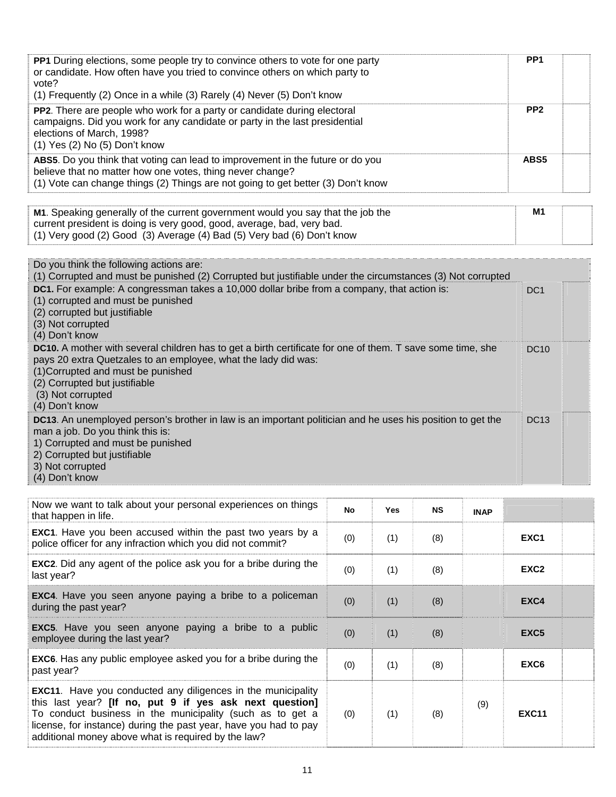| PP1 During elections, some people try to convince others to vote for one party<br>or candidate. How often have you tried to convince others on which party to<br>vote?<br>(1) Frequently (2) Once in a while (3) Rarely (4) Never (5) Don't know                                                  | PP <sub>1</sub> |
|---------------------------------------------------------------------------------------------------------------------------------------------------------------------------------------------------------------------------------------------------------------------------------------------------|-----------------|
| PP2. There are people who work for a party or candidate during electoral<br>campaigns. Did you work for any candidate or party in the last presidential<br>elections of March, 1998?<br>(1) Yes (2) No (5) Don't know                                                                             | PP <sub>2</sub> |
| ABS5. Do you think that voting can lead to improvement in the future or do you<br>believe that no matter how one votes, thing never change?<br>(1) Vote can change things (2) Things are not going to get better (3) Don't know                                                                   | ABS5            |
| M1. Speaking generally of the current government would you say that the job the<br>current president is doing is very good, good, average, bad, very bad.<br>(1) Very good (2) Good (3) Average (4) Bad (5) Very bad (6) Don't know                                                               | M1              |
| Do you think the following actions are:<br>(1) Corrupted and must be punished (2) Corrupted but justifiable under the circumstances (3) Not corrupted                                                                                                                                             |                 |
| DC1. For example: A congressman takes a 10,000 dollar bribe from a company, that action is:<br>(1) corrupted and must be punished<br>(2) corrupted but justifiable<br>(3) Not corrupted<br>(4) Don't know                                                                                         | DC <sub>1</sub> |
| <b>DC10.</b> A mother with several children has to get a birth certificate for one of them. T save some time, she<br>pays 20 extra Quetzales to an employee, what the lady did was:<br>(1) Corrupted and must be punished<br>(2) Corrupted but justifiable<br>(3) Not corrupted<br>(4) Don't know | <b>DC10</b>     |
| DC13. An unemployed person's brother in law is an important politician and he uses his position to get the<br>man a job. Do you think this is:                                                                                                                                                    | <b>DC13</b>     |

1) Corrupted and must be punished

2) Corrupted but justifiable

3) Not corrupted

(4) Don't know

| Now we want to talk about your personal experiences on things<br>that happen in life.                                                                                                                                                                                                                                  | No                       | <b>Yes</b> | <b>NS</b> | <b>INAP</b> |                  |  |
|------------------------------------------------------------------------------------------------------------------------------------------------------------------------------------------------------------------------------------------------------------------------------------------------------------------------|--------------------------|------------|-----------|-------------|------------------|--|
| <b>EXC1.</b> Have you been accused within the past two years by a<br>police officer for any infraction which you did not commit?                                                                                                                                                                                       | (0)                      | (1)        | (8)       |             | EXC <sub>1</sub> |  |
| <b>EXC2</b> . Did any agent of the police ask you for a bribe during the<br>last year?                                                                                                                                                                                                                                 | (0)                      | (1)        | (8)       |             | EXC <sub>2</sub> |  |
| <b>EXC4.</b> Have you seen anyone paying a bribe to a policeman<br>during the past year?                                                                                                                                                                                                                               | (0)                      | (1)        | (8)       |             | EXC4             |  |
| <b>EXC5.</b> Have you seen anyone paying a bribe to a public<br>employee during the last year?                                                                                                                                                                                                                         | (0)                      | (1)        | (8)       |             | EXC <sub>5</sub> |  |
| <b>EXC6.</b> Has any public employee asked you for a bribe during the<br>past year?                                                                                                                                                                                                                                    | (0)                      | (1)        | (8)       |             | EXC6             |  |
| <b>EXC11.</b> Have you conducted any diligences in the municipality<br>this last year? [If no, put 9 if yes ask next question]<br>To conduct business in the municipality (such as to get a<br>license, for instance) during the past year, have you had to pay<br>additional money above what is required by the law? | (9)<br>(1)<br>(8)<br>(0) |            |           |             |                  |  |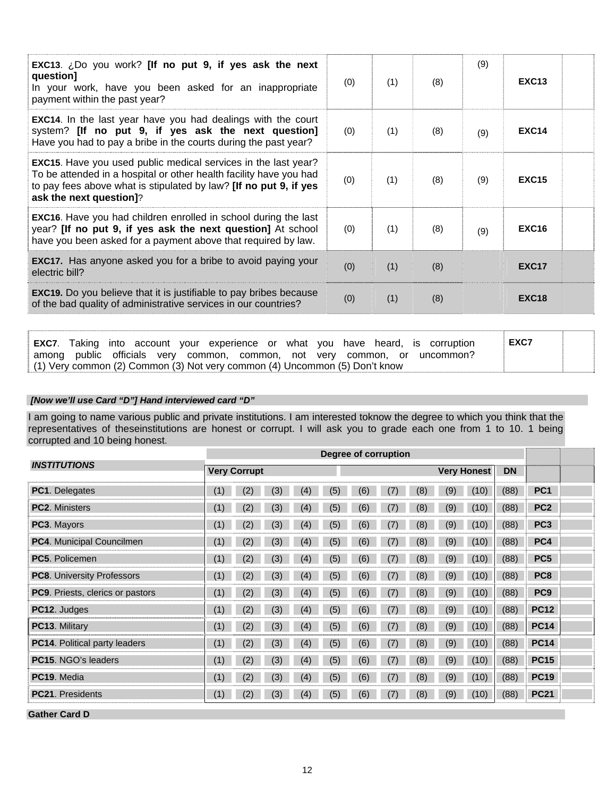| <b>EXC13.</b> ¿Do you work? [If no put 9, if yes ask the next<br>question]<br>In your work, have you been asked for an inappropriate<br>payment within the past year?                                                                       | (0) | (1) | (8) | (9) | <b>EXC13</b> |  |
|---------------------------------------------------------------------------------------------------------------------------------------------------------------------------------------------------------------------------------------------|-----|-----|-----|-----|--------------|--|
| <b>EXC14.</b> In the last year have you had dealings with the court<br>system? [If no put 9, if yes ask the next question]<br>Have you had to pay a bribe in the courts during the past year?                                               | (0) | (1) | (8) | (9) | <b>EXC14</b> |  |
| <b>EXC15.</b> Have you used public medical services in the last year?<br>To be attended in a hospital or other health facility have you had<br>to pay fees above what is stipulated by law? [If no put 9, if yes<br>ask the next question]? | (0) | (1) | (8) | (9) | <b>EXC15</b> |  |
| <b>EXC16.</b> Have you had children enrolled in school during the last<br>year? [If no put 9, if yes ask the next question] At school<br>have you been asked for a payment above that required by law.                                      | (0) | (1) | (8) | (9) | <b>EXC16</b> |  |
| <b>EXC17.</b> Has anyone asked you for a bribe to avoid paying your<br>electric bill?                                                                                                                                                       | (0) | (1) | (8) |     | <b>EXC17</b> |  |
| <b>EXC19.</b> Do you believe that it is justifiable to pay bribes because<br>of the bad quality of administrative services in our countries?                                                                                                | (0) | (1) | (8) |     | <b>EXC18</b> |  |

| EXC7. | Taking into account your experience or what you have heard, is corruption  |  |  |  | EXC7 |  |
|-------|----------------------------------------------------------------------------|--|--|--|------|--|
|       | among public officials very common, common, not very common, or uncommon?  |  |  |  |      |  |
|       | (1) Very common (2) Common (3) Not very common (4) Uncommon (5) Don't know |  |  |  |      |  |

#### *[Now we'll use Card "D"] Hand interviewed card "D"*

I am going to name various public and private institutions. I am interested toknow the degree to which you think that the representatives of theseinstitutions are honest or corrupt. I will ask you to grade each one from 1 to 10. 1 being corrupted and 10 being honest.

| Degree of corruption             |     |                     |     |     |     |     |     |     |     |                    |           |                 |  |
|----------------------------------|-----|---------------------|-----|-----|-----|-----|-----|-----|-----|--------------------|-----------|-----------------|--|
| <i><b>INSTITUTIONS</b></i>       |     | <b>Very Corrupt</b> |     |     |     |     |     |     |     | <b>Very Honest</b> | <b>DN</b> |                 |  |
| <b>PC1.</b> Delegates            | (1) | (2)                 | (3) | (4) | (5) | (6) | (7) | (8) | (9) | (10)               | (88)      | PC <sub>1</sub> |  |
| PC2. Ministers                   | (1) | (2)                 | (3) | (4) | (5) | (6) | (7) | (8) | (9) | (10)               | (88)      | PC <sub>2</sub> |  |
| PC3. Mayors                      | (1) | (2)                 | (3) | (4) | (5) | (6) | (7) | (8) | (9) | (10)               | (88)      | PC <sub>3</sub> |  |
| PC4. Municipal Councilmen        | (1) | (2)                 | (3) | (4) | (5) | (6) | (7) | (8) | (9) | (10)               | (88)      | PC4             |  |
| <b>PC5. Policemen</b>            | (1) | (2)                 | (3) | (4) | (5) | (6) | (7) | (8) | (9) | (10)               | (88)      | PC <sub>5</sub> |  |
| PC8. University Professors       | (1) | (2)                 | (3) | (4) | (5) | (6) | (7) | (8) | (9) | (10)               | (88)      | PC <sub>8</sub> |  |
| PC9. Priests, clerics or pastors | (1) | (2)                 | (3) | (4) | (5) | (6) | (7) | (8) | (9) | (10)               | (88)      | PC <sub>9</sub> |  |
| PC12. Judges                     | (1) | (2)                 | (3) | (4) | (5) | (6) | (7) | (8) | (9) | (10)               | (88)      | <b>PC12</b>     |  |
| PC13. Military                   | (1) | (2)                 | (3) | (4) | (5) | (6) | (7) | (8) | (9) | (10)               | (88)      | <b>PC14</b>     |  |
| PC14. Political party leaders    | (1) | (2)                 | (3) | (4) | (5) | (6) | (7) | (8) | (9) | (10)               | (88)      | <b>PC14</b>     |  |
| PC15. NGO's leaders              | (1) | (2                  | (3) | (4) | (5) | (6) | (7) | (8) | (9) | (10)               | (88)      | <b>PC15</b>     |  |
| PC19. Media                      | (1) | (2)                 | (3) | (4) | (5) | (6) | (7) | (8) | (9) | (10)               | (88)      | <b>PC19</b>     |  |
| <b>PC21. Presidents</b>          | (1) | (2)                 | (3) | (4) | (5) | (6) | (7) | (8) | (9) | (10)               | (88)      | <b>PC21</b>     |  |
| <b>Gather Card D</b>             |     |                     |     |     |     |     |     |     |     |                    |           |                 |  |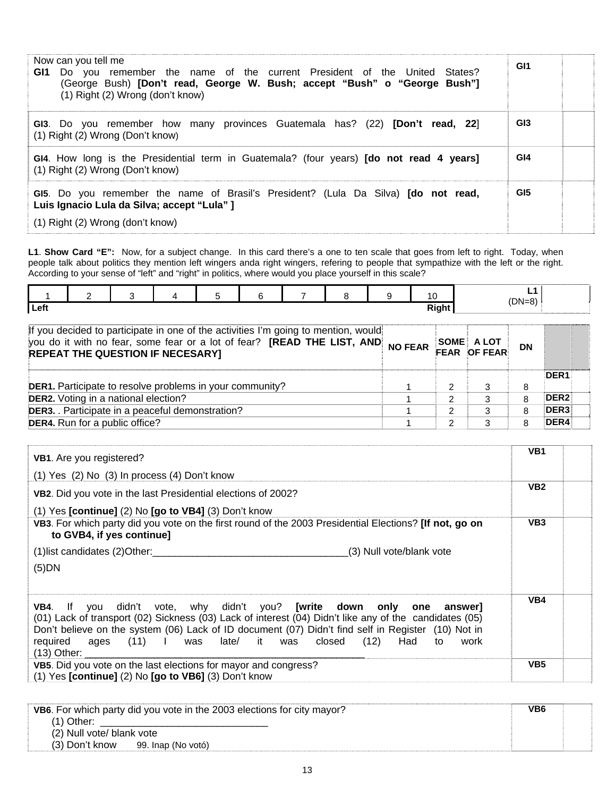| Now can you tell me<br>Do you remember the name of the current President of the United States?<br>GI1<br>(George Bush) [Don't read, George W. Bush; accept "Bush" o "George Bush"]<br>(1) Right (2) Wrong (don't know) | GI <sub>1</sub> |
|------------------------------------------------------------------------------------------------------------------------------------------------------------------------------------------------------------------------|-----------------|
| GI3. Do you remember how many provinces Guatemala has? (22) [Don't read, 22]<br>$(1)$ Right $(2)$ Wrong (Don't know)                                                                                                   | GI <sub>3</sub> |
| GI4. How long is the Presidential term in Guatemala? (four years) [do not read 4 years]<br>(1) Right (2) Wrong (Don't know)                                                                                            | GI4             |
| GI5. Do you remember the name of Brasil's President? (Lula Da Silva) [do not read,<br>Luis Ignacio Lula da Silva; accept "Lula" ]<br>(1) Right (2) Wrong (don't know)                                                  | GI <sub>5</sub> |

**L1**. **Show Card "E":** Now, for a subject change. In this card there's a one to ten scale that goes from left to right. Today, when people talk about politics they mention left wingers anda right wingers, refering to people that sympathize with the left or the right. According to your sense of "left" and "right" in politics, where would you place yourself in this scale?

|      | 2 | 3                                                               | 5 | 6 | 8                                                                                                                                                             | 9              | 10 |       |                            | L1<br>$(DN=8)$ |                  |  |
|------|---|-----------------------------------------------------------------|---|---|---------------------------------------------------------------------------------------------------------------------------------------------------------------|----------------|----|-------|----------------------------|----------------|------------------|--|
| Left |   |                                                                 |   |   |                                                                                                                                                               |                |    | Right |                            |                |                  |  |
|      |   | REPEAT THE QUESTION IF NECESARY]                                |   |   | If you decided to participate in one of the activities I'm going to mention, would<br>you do it with no fear, some fear or a lot of fear? [READ THE LIST, AND | <b>NO FEAR</b> |    |       | SOME A LOT<br>FEAR OF FEAR | <b>DN</b>      |                  |  |
|      |   | <b>DER1.</b> Participate to resolve problems in your community? |   |   |                                                                                                                                                               |                |    | 2     | 3                          | 8              | DER <sub>1</sub> |  |
|      |   | <b>DER2.</b> Voting in a national election?                     |   |   |                                                                                                                                                               |                |    | 2     | 3                          | 8              | DER <sub>2</sub> |  |
|      |   | DER3. Participate in a peaceful demonstration?                  |   |   |                                                                                                                                                               |                |    | 2     |                            | 8              | DER <sub>3</sub> |  |
|      |   | DER4. Run for a public office?                                  |   |   |                                                                                                                                                               |                |    | 2     | 3                          | 8              | DER4             |  |

| VB1. Are you registered?                                                                                                                                                                                                                                                                                                                                                      | VB <sub>1</sub> |
|-------------------------------------------------------------------------------------------------------------------------------------------------------------------------------------------------------------------------------------------------------------------------------------------------------------------------------------------------------------------------------|-----------------|
| (1) Yes (2) No (3) In process (4) Don't know                                                                                                                                                                                                                                                                                                                                  |                 |
| VB2. Did you vote in the last Presidential elections of 2002?                                                                                                                                                                                                                                                                                                                 | VB <sub>2</sub> |
| $(1)$ Yes [continue] $(2)$ No [go to VB4] $(3)$ Don't know                                                                                                                                                                                                                                                                                                                    |                 |
| VB3. For which party did you vote on the first round of the 2003 Presidential Elections? [If not, go on<br>to GVB4, if yes continue]                                                                                                                                                                                                                                          | VB <sub>3</sub> |
| (3) Null vote/blank vote                                                                                                                                                                                                                                                                                                                                                      |                 |
| $(5)$ DN                                                                                                                                                                                                                                                                                                                                                                      |                 |
| VB4. If you didn't vote, why didn't you? [write down only one answer]<br>(01) Lack of transport (02) Sickness (03) Lack of interest (04) Didn't like any of the candidates (05)<br>Don't believe on the system (06) Lack of ID document (07) Didn't find self in Register (10) Not in<br>required ages (11) I was late/ it was closed (12) Had<br>work<br>to<br>$(13)$ Other: | VB4             |
| VB5. Did you vote on the last elections for mayor and congress?<br>(1) Yes [continue] (2) No [go to VB6] (3) Don't know                                                                                                                                                                                                                                                       | VB <sub>5</sub> |

|                           | VB6. For which party did you vote in the 2003 elections for city mayor? | VB6 |  |
|---------------------------|-------------------------------------------------------------------------|-----|--|
| (1) Other:                |                                                                         |     |  |
| (2) Null vote/ blank vote |                                                                         |     |  |
| (3) Don't know            | 99. Inap (No votó)                                                      |     |  |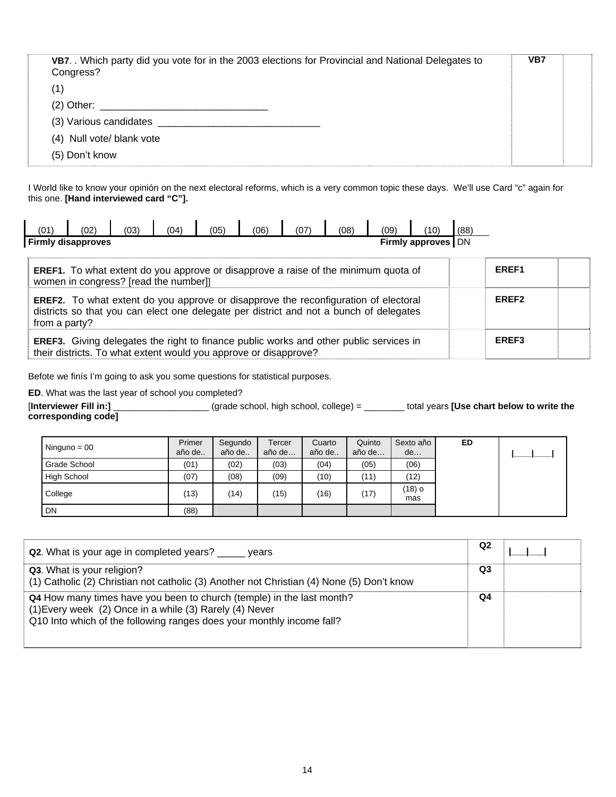| VB7. Which party did you vote for in the 2003 elections for Provincial and National Delegates to<br>Congress? | VB7 |  |
|---------------------------------------------------------------------------------------------------------------|-----|--|
| (1)                                                                                                           |     |  |
| $(2)$ Other:                                                                                                  |     |  |
| (3) Various candidates                                                                                        |     |  |
| (4) Null vote/ blank vote                                                                                     |     |  |
| (5) Don't know                                                                                                |     |  |

I World like to know your opinión on the next electoral reforms, which is a very common topic these days. We'll use Card "c" again for this one. **[Hand interviewed card "C"].** 

| (01`                                              | (02 | (03) | 04 | (05) | (06) | 07 | 08 | (09) | $^{\prime}10^{\prime}$ | (88) |
|---------------------------------------------------|-----|------|----|------|------|----|----|------|------------------------|------|
| <b>Firmly disapproves</b><br>Firmly approves   DN |     |      |    |      |      |    |    |      |                        |      |

| <b>EREF1.</b> To what extent do you approve or disapprove a raise of the minimum quota of<br>women in congress? [read the number]]                                                                    | EREF1 |  |
|-------------------------------------------------------------------------------------------------------------------------------------------------------------------------------------------------------|-------|--|
| <b>EREF2.</b> To what extent do you approve or disapprove the reconfiguration of electoral<br>districts so that you can elect one delegate per district and not a bunch of delegates<br>from a party? | EREF2 |  |
| EREF3. Giving delegates the right to finance public works and other public services in<br>their districts. To what extent would you approve or disapprove?                                            | EREF3 |  |

Befote we finís I'm going to ask you some questions for statistical purposes.

**ED**. What was the last year of school you completed?

[**Interviewer Fill in:]** \_\_\_\_\_\_\_\_\_\_\_\_\_\_\_\_\_\_\_ (grade school, high school, college) = \_\_\_\_\_\_\_\_ total years **[Use chart below to write the corresponding code]**

| Ninguno = $00$ | Primer<br>año de | Segundo<br>año de | Tercer<br>año de | Cuarto<br>año de | Quinto<br>año de | Sexto año<br>de | ED |  |
|----------------|------------------|-------------------|------------------|------------------|------------------|-----------------|----|--|
| Grade School   | (01)             | (02)              | (03)             | (04)             | (05)             | (06)            |    |  |
| High School    | (07)             | (08)              | (09)             | (10)             | (11)             | (12)            |    |  |
| College        | (13)             | (14)              | (15)             | (16)             | (17)             | (18) o<br>mas   |    |  |
| DN             | (88)             |                   |                  |                  |                  |                 |    |  |

| Q2. What is your age in completed years? vears                                                                                                                                                            | Q2 |  |
|-----------------------------------------------------------------------------------------------------------------------------------------------------------------------------------------------------------|----|--|
| Q3. What is your religion?<br>(1) Catholic (2) Christian not catholic (3) Another not Christian (4) None (5) Don't know                                                                                   | Q3 |  |
| Q4 How many times have you been to church (temple) in the last month?<br>(1) Every week (2) Once in a while (3) Rarely (4) Never<br>Q10 Into which of the following ranges does your monthly income fall? | Q4 |  |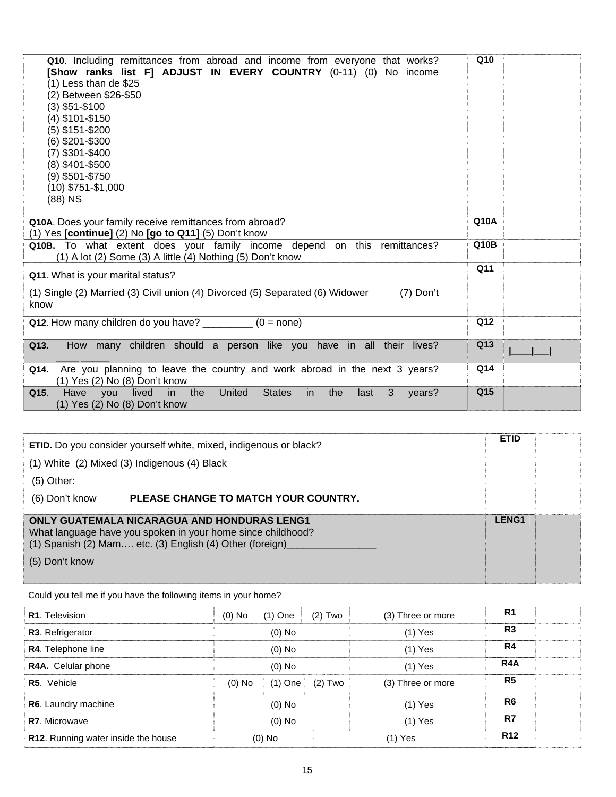| Q10. Including remittances from abroad and income from everyone that works?<br>[Show ranks list F] ADJUST IN EVERY COUNTRY (0-11) (0) No income<br>(1) Less than de \$25<br>(2) Between \$26-\$50<br>(3) \$51-\$100<br>(4) \$101-\$150<br>(5) \$151-\$200<br>(6) \$201-\$300<br>$(7)$ \$301-\$400<br>(8) \$401-\$500<br>$(9)$ \$501-\$750<br>$(10)$ \$751-\$1,000<br>$(88)$ NS | Q <sub>10</sub> |  |
|--------------------------------------------------------------------------------------------------------------------------------------------------------------------------------------------------------------------------------------------------------------------------------------------------------------------------------------------------------------------------------|-----------------|--|
| Q10A. Does your family receive remittances from abroad?<br>$(1)$ Yes [continue] $(2)$ No [go to Q11] $(5)$ Don't know                                                                                                                                                                                                                                                          | Q10A            |  |
| Q10B. To what extent does your family income depend on this remittances?<br>$(1)$ A lot $(2)$ Some $(3)$ A little $(4)$ Nothing $(5)$ Don't know                                                                                                                                                                                                                               | Q10B            |  |
| Q11. What is your marital status?                                                                                                                                                                                                                                                                                                                                              | Q11             |  |
| (1) Single (2) Married (3) Civil union (4) Divorced (5) Separated (6) Widower<br>$(7)$ Don't<br>know                                                                                                                                                                                                                                                                           |                 |  |
| Q12. How many children do you have? $\frac{1}{2}$ (0 = none)                                                                                                                                                                                                                                                                                                                   | Q12             |  |
| How many children should a person like you have in all their lives?<br>Q13.                                                                                                                                                                                                                                                                                                    | Q13             |  |
| Q14. Are you planning to leave the country and work abroad in the next 3 years?<br>(1) Yes (2) No (8) Don't know                                                                                                                                                                                                                                                               | Q14             |  |
| lived<br>the<br>United<br><b>States</b><br>3<br>in<br><i>in</i><br>the<br>Q15.<br>Have<br>you<br>last<br>years?<br>(1) Yes (2) No (8) Don't know                                                                                                                                                                                                                               | Q15             |  |

| (1) White (2) Mixed (3) Indigenous (4) Black<br>$(5)$ Other:<br>(6) Don't know | <b>ETID.</b> Do you consider yourself white, mixed, indigenous or black?<br>PLEASE CHANGE TO MATCH YOUR COUNTRY.                                                              | <b>ETID</b>  |  |
|--------------------------------------------------------------------------------|-------------------------------------------------------------------------------------------------------------------------------------------------------------------------------|--------------|--|
| (5) Don't know                                                                 | <b>ONLY GUATEMALA NICARAGUA AND HONDURAS LENG1</b><br>What language have you spoken in your home since childhood?<br>(1) Spanish (2) Mam etc. (3) English (4) Other (foreign) | <b>LENG1</b> |  |

Could you tell me if you have the following items in your home?

| <b>R1.</b> Television               | $(0)$ No | $(1)$ One | $(2)$ Two | (3) Three or more | R <sub>1</sub> |  |
|-------------------------------------|----------|-----------|-----------|-------------------|----------------|--|
| R3. Refrigerator                    | $(0)$ No |           |           | $(1)$ Yes         | R <sub>3</sub> |  |
| R4. Telephone line                  |          | $(0)$ No  |           | $(1)$ Yes         | R4             |  |
| R4A. Celular phone                  | $(0)$ No |           |           | $(1)$ Yes         |                |  |
| R5. Vehicle                         | $(0)$ No | $(1)$ One | $(2)$ Two | (3) Three or more | R <sub>5</sub> |  |
| R6. Laundry machine                 |          | $(0)$ No  |           | $(1)$ Yes         | R <sub>6</sub> |  |
| <b>R7.</b> Microwave                | $(0)$ No |           |           | $(1)$ Yes         | R7             |  |
| R12. Running water inside the house | $(0)$ No |           |           | (1) Yes           |                |  |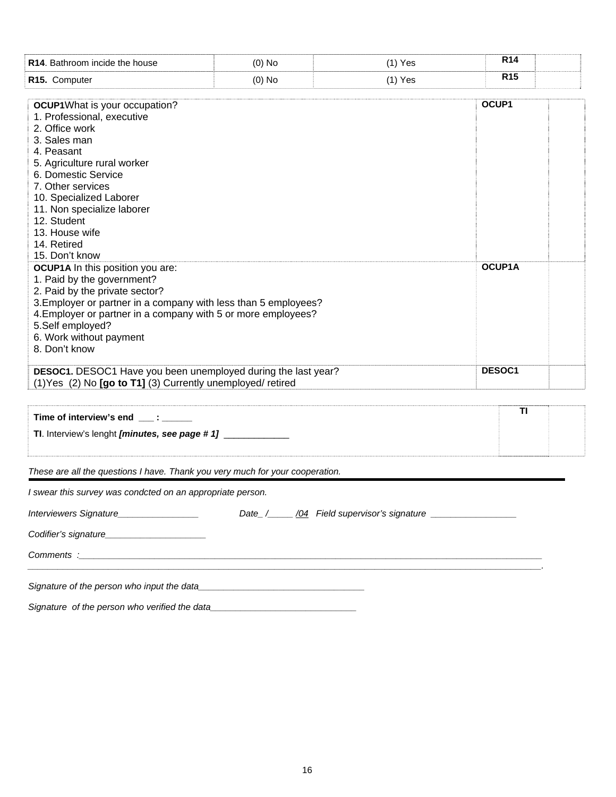| R14. Bathroom incide the house                                                                                                                                                                                                                                                                                            | $(0)$ No | $(1)$ Yes |       | <b>R14</b> |  |
|---------------------------------------------------------------------------------------------------------------------------------------------------------------------------------------------------------------------------------------------------------------------------------------------------------------------------|----------|-----------|-------|------------|--|
| R15. Computer                                                                                                                                                                                                                                                                                                             | $(0)$ No | $(1)$ Yes |       | <b>R15</b> |  |
| <b>OCUP1</b> What is your occupation?<br>1. Professional, executive<br>2. Office work<br>3. Sales man<br>4. Peasant<br>5. Agriculture rural worker<br>6. Domestic Service<br>7. Other services<br>10. Specialized Laborer<br>11. Non specialize laborer<br>12. Student<br>13. House wife<br>14. Retired<br>15. Don't know |          |           | OCUP1 |            |  |
| <b>OCUP1A</b> In this position you are:<br>1. Paid by the government?<br>2. Paid by the private sector?<br>3. Employer or partner in a company with less than 5 employees?<br>4. Employer or partner in a company with 5 or more employees?<br>5.Self employed?<br>6. Work without payment<br>8. Don't know               |          |           |       | OCUP1A     |  |
| DESOC1. DESOC1 Have you been unemployed during the last year?<br>(1) Yes (2) No [go to T1] (3) Currently unemployed/ retired                                                                                                                                                                                              |          |           |       | DESOC1     |  |
| Time of interview's end ___: _____<br>TI. Interview's lenght [minutes, see page # 1] _____________                                                                                                                                                                                                                        |          |           |       | <b>TI</b>  |  |
| These are all the questions I have. Thank you very much for your cooperation.                                                                                                                                                                                                                                             |          |           |       |            |  |
| I swear this survey was condcted on an appropriate person.                                                                                                                                                                                                                                                                |          |           |       |            |  |
|                                                                                                                                                                                                                                                                                                                           |          |           |       |            |  |
|                                                                                                                                                                                                                                                                                                                           |          |           |       |            |  |
|                                                                                                                                                                                                                                                                                                                           |          |           |       |            |  |
|                                                                                                                                                                                                                                                                                                                           |          |           |       |            |  |
|                                                                                                                                                                                                                                                                                                                           |          |           |       |            |  |
| Signature of the person who verified the data                                                                                                                                                                                                                                                                             |          |           |       |            |  |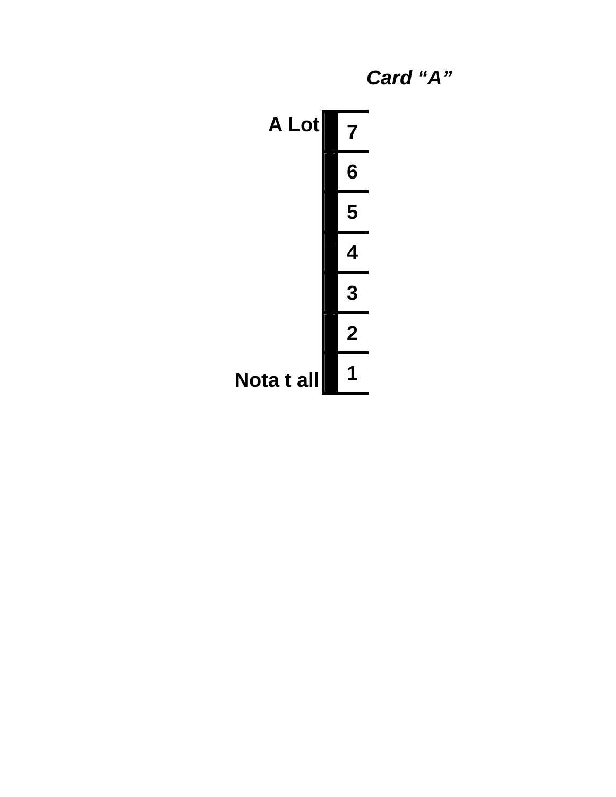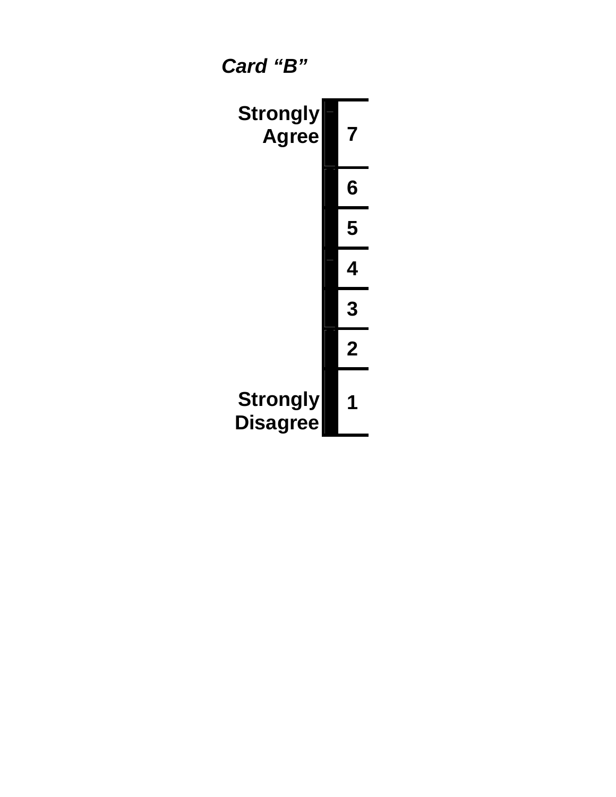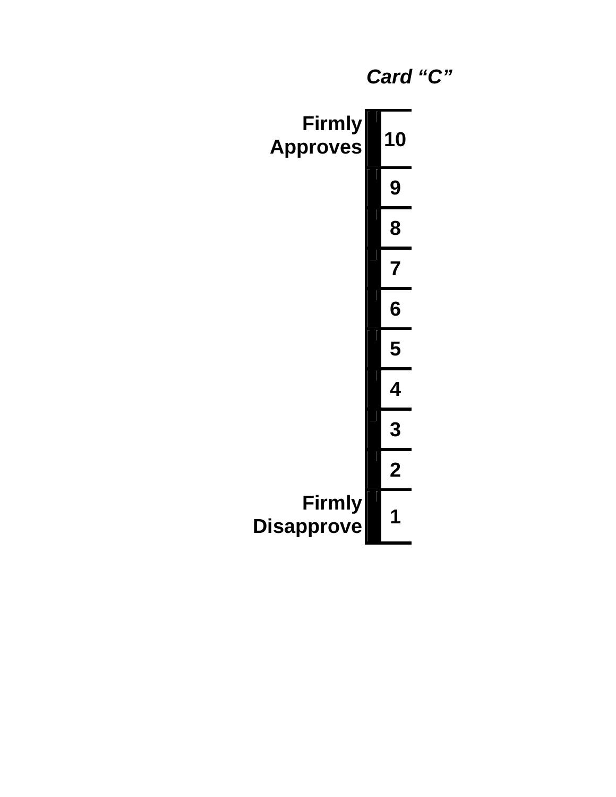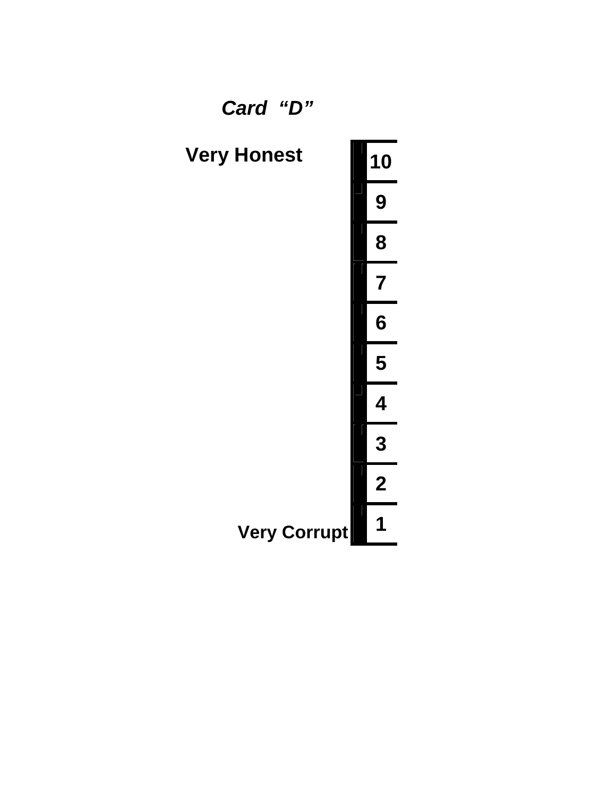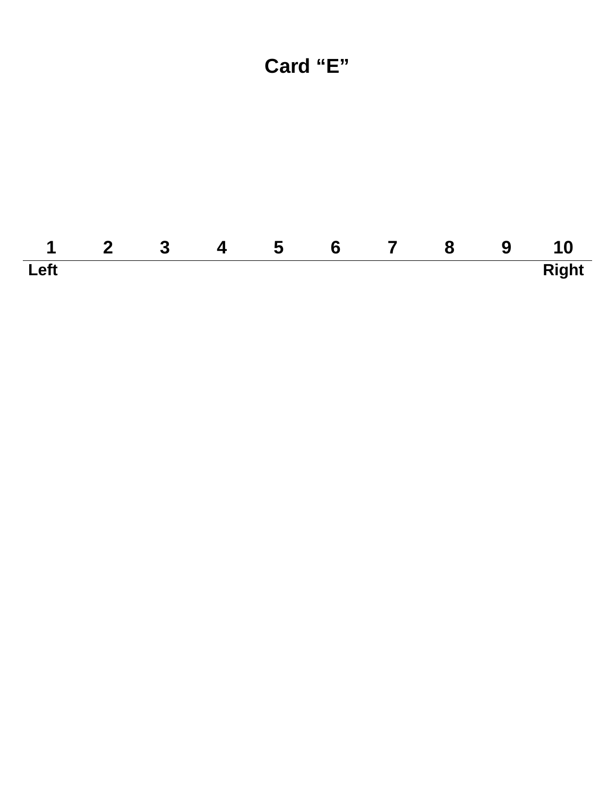# **Card "E"**